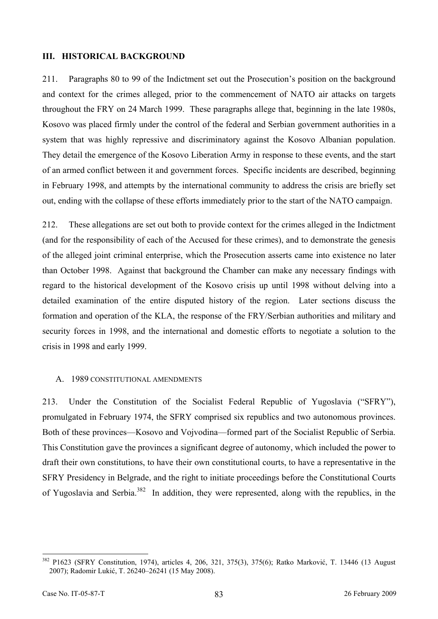## **III. HISTORICAL BACKGROUND**

211. Paragraphs 80 to 99 of the Indictment set out the Prosecution's position on the background and context for the crimes alleged, prior to the commencement of NATO air attacks on targets throughout the FRY on 24 March 1999. These paragraphs allege that, beginning in the late 1980s, Kosovo was placed firmly under the control of the federal and Serbian government authorities in a system that was highly repressive and discriminatory against the Kosovo Albanian population. They detail the emergence of the Kosovo Liberation Army in response to these events, and the start of an armed conflict between it and government forces. Specific incidents are described, beginning in February 1998, and attempts by the international community to address the crisis are briefly set out, ending with the collapse of these efforts immediately prior to the start of the NATO campaign.

212. These allegations are set out both to provide context for the crimes alleged in the Indictment (and for the responsibility of each of the Accused for these crimes), and to demonstrate the genesis of the alleged joint criminal enterprise, which the Prosecution asserts came into existence no later than October 1998. Against that background the Chamber can make any necessary findings with regard to the historical development of the Kosovo crisis up until 1998 without delving into a detailed examination of the entire disputed history of the region. Later sections discuss the formation and operation of the KLA, the response of the FRY/Serbian authorities and military and security forces in 1998, and the international and domestic efforts to negotiate a solution to the crisis in 1998 and early 1999.

## A. 1989 CONSTITUTIONAL AMENDMENTS

213. Under the Constitution of the Socialist Federal Republic of Yugoslavia ("SFRY"), promulgated in February 1974, the SFRY comprised six republics and two autonomous provinces. Both of these provinces—Kosovo and Vojvodina—formed part of the Socialist Republic of Serbia. This Constitution gave the provinces a significant degree of autonomy, which included the power to draft their own constitutions, to have their own constitutional courts, to have a representative in the SFRY Presidency in Belgrade, and the right to initiate proceedings before the Constitutional Courts of Yugoslavia and Serbia.382 In addition, they were represented, along with the republics, in the

<sup>382</sup> P1623 (SFRY Constitution, 1974), articles 4, 206, 321, 375(3), 375(6); Ratko Marković, T. 13446 (13 August 2007); Radomir Lukić, T. 26240–26241 (15 May 2008).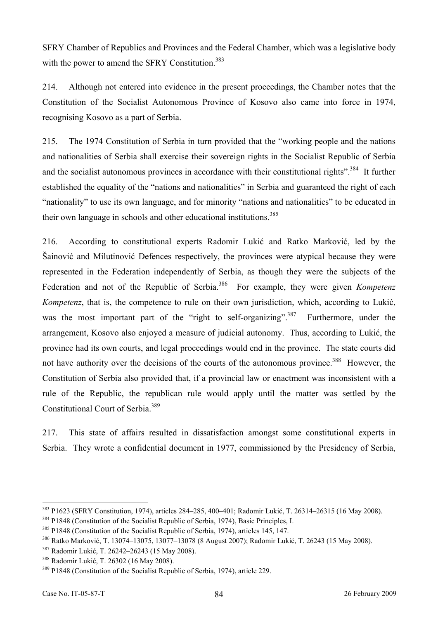SFRY Chamber of Republics and Provinces and the Federal Chamber, which was a legislative body with the power to amend the SFRY Constitution.<sup>383</sup>

214. Although not entered into evidence in the present proceedings, the Chamber notes that the Constitution of the Socialist Autonomous Province of Kosovo also came into force in 1974, recognising Kosovo as a part of Serbia.

215. The 1974 Constitution of Serbia in turn provided that the "working people and the nations and nationalities of Serbia shall exercise their sovereign rights in the Socialist Republic of Serbia and the socialist autonomous provinces in accordance with their constitutional rights".<sup>384</sup> It further established the equality of the "nations and nationalities" in Serbia and guaranteed the right of each "nationality" to use its own language, and for minority "nations and nationalities" to be educated in their own language in schools and other educational institutions.<sup>385</sup>

216. According to constitutional experts Radomir Lukić and Ratko Marković, led by the Šainović and Milutinović Defences respectively, the provinces were atypical because they were represented in the Federation independently of Serbia, as though they were the subjects of the Federation and not of the Republic of Serbia.<sup>386</sup> For example, they were given *Kompetenz Kompetenz*, that is, the competence to rule on their own jurisdiction, which, according to Lukić, was the most important part of the "right to self-organizing".<sup>387</sup> Furthermore, under the arrangement, Kosovo also enjoyed a measure of judicial autonomy. Thus, according to Lukić, the province had its own courts, and legal proceedings would end in the province. The state courts did not have authority over the decisions of the courts of the autonomous province.<sup>388</sup> However, the Constitution of Serbia also provided that, if a provincial law or enactment was inconsistent with a rule of the Republic, the republican rule would apply until the matter was settled by the Constitutional Court of Serbia.389

217. This state of affairs resulted in dissatisfaction amongst some constitutional experts in Serbia. They wrote a confidential document in 1977, commissioned by the Presidency of Serbia,

<sup>&</sup>lt;sup>383</sup> P1623 (SFRY Constitution, 1974), articles 284–285, 400–401; Radomir Lukić, T. 26314–26315 (16 May 2008).<br><sup>384</sup> P1848 (Constitution of the Socialist Republic of Serbia, 1974), Basic Principles, I.<br><sup>385</sup> P1848 (Consti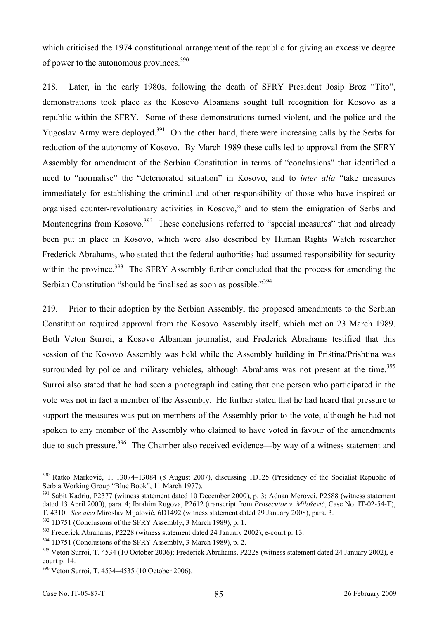which criticised the 1974 constitutional arrangement of the republic for giving an excessive degree of power to the autonomous provinces.<sup>390</sup>

218. Later, in the early 1980s, following the death of SFRY President Josip Broz "Tito", demonstrations took place as the Kosovo Albanians sought full recognition for Kosovo as a republic within the SFRY. Some of these demonstrations turned violent, and the police and the Yugoslav Army were deployed.<sup>391</sup> On the other hand, there were increasing calls by the Serbs for reduction of the autonomy of Kosovo. By March 1989 these calls led to approval from the SFRY Assembly for amendment of the Serbian Constitution in terms of "conclusions" that identified a need to "normalise" the "deteriorated situation" in Kosovo, and to *inter alia* "take measures immediately for establishing the criminal and other responsibility of those who have inspired or organised counter-revolutionary activities in Kosovo," and to stem the emigration of Serbs and Montenegrins from Kosovo.<sup>392</sup> These conclusions referred to "special measures" that had already been put in place in Kosovo, which were also described by Human Rights Watch researcher Frederick Abrahams, who stated that the federal authorities had assumed responsibility for security within the province.<sup>393</sup> The SFRY Assembly further concluded that the process for amending the Serbian Constitution "should be finalised as soon as possible."<sup>394</sup>

219. Prior to their adoption by the Serbian Assembly, the proposed amendments to the Serbian Constitution required approval from the Kosovo Assembly itself, which met on 23 March 1989. Both Veton Surroi, a Kosovo Albanian journalist, and Frederick Abrahams testified that this session of the Kosovo Assembly was held while the Assembly building in Priština/Prishtina was surrounded by police and military vehicles, although Abrahams was not present at the time.<sup>395</sup> Surroi also stated that he had seen a photograph indicating that one person who participated in the vote was not in fact a member of the Assembly. He further stated that he had heard that pressure to support the measures was put on members of the Assembly prior to the vote, although he had not spoken to any member of the Assembly who claimed to have voted in favour of the amendments due to such pressure.<sup>396</sup> The Chamber also received evidence—by way of a witness statement and

<sup>390</sup> Ratko Marković, T. 13074–13084 (8 August 2007), discussing 1D125 (Presidency of the Socialist Republic of Serbia Working Group "Blue Book", 11 March 1977).

<sup>&</sup>lt;sup>391</sup> Sabit Kadriu, P2377 (witness statement dated 10 December 2000), p. 3; Adnan Merovci, P2588 (witness statement dated 13 April 2000), para. 4; Ibrahim Rugova, P2612 (transcript from *Prosecutor v. Milošević*, Case No. IT-02-54-T), T. 4310. *See also* Miroslav Mijatović, 6D1492 (witness statement dated 29 January 2008), para. 3.<br><sup>392</sup> 1D751 (Conclusions of the SFRY Assembly, 3 March 1989), p. 1.<br><sup>393</sup> Frederick Abrahams, P2228 (witness statement date

court p. 14.

<sup>396</sup> Veton Surroi, T. 4534–4535 (10 October 2006).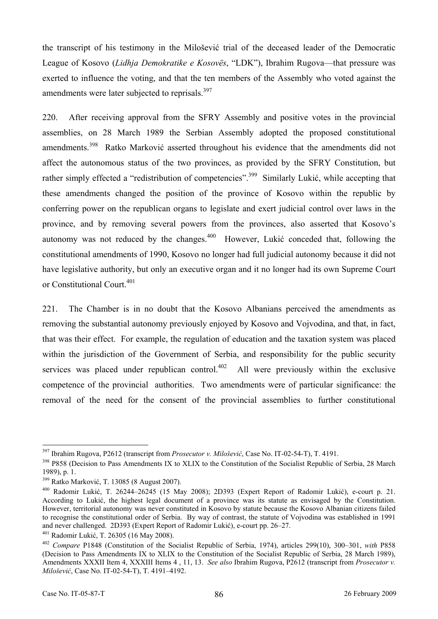the transcript of his testimony in the Milošević trial of the deceased leader of the Democratic League of Kosovo (*Lidhja Demokratike e Kosovës*, "LDK"), Ibrahim Rugova—that pressure was exerted to influence the voting, and that the ten members of the Assembly who voted against the amendments were later subjected to reprisals.<sup>397</sup>

220. After receiving approval from the SFRY Assembly and positive votes in the provincial assemblies, on 28 March 1989 the Serbian Assembly adopted the proposed constitutional amendments.<sup>398</sup> Ratko Marković asserted throughout his evidence that the amendments did not affect the autonomous status of the two provinces, as provided by the SFRY Constitution, but rather simply effected a "redistribution of competencies".<sup>399</sup> Similarly Lukić, while accepting that these amendments changed the position of the province of Kosovo within the republic by conferring power on the republican organs to legislate and exert judicial control over laws in the province, and by removing several powers from the provinces, also asserted that Kosovo's autonomy was not reduced by the changes.<sup>400</sup> However, Lukić conceded that, following the constitutional amendments of 1990, Kosovo no longer had full judicial autonomy because it did not have legislative authority, but only an executive organ and it no longer had its own Supreme Court or Constitutional Court.<sup>401</sup>

221. The Chamber is in no doubt that the Kosovo Albanians perceived the amendments as removing the substantial autonomy previously enjoyed by Kosovo and Vojvodina, and that, in fact, that was their effect. For example, the regulation of education and the taxation system was placed within the jurisdiction of the Government of Serbia, and responsibility for the public security services was placed under republican control.<sup>402</sup> All were previously within the exclusive competence of the provincial authorities. Two amendments were of particular significance: the removal of the need for the consent of the provincial assemblies to further constitutional

<sup>&</sup>lt;sup>397</sup> Ibrahim Rugova, P2612 (transcript from *Prosecutor v. Milošević*, Case No. IT-02-54-T), T. 4191.<br><sup>398</sup> P858 (Decision to Pass Amendments IX to XLIX to the Constitution of the Socialist Republic of Serbia, 28 March 1989), p. 1.

<sup>&</sup>lt;sup>399</sup> Ratko Marković, T. 13085 (8 August 2007).<br><sup>400</sup> Radomir Lukić, T. 26244–26245 (15 May 2008); 2D393 (Expert Report of Radomir Lukić), e-court p. 21. According to Lukić, the highest legal document of a province was its statute as envisaged by the Constitution. However, territorial autonomy was never constituted in Kosovo by statute because the Kosovo Albanian citizens failed to recognise the constitutional order of Serbia. By way of contrast, the statute of Vojvodina was established in 1991 and never challenged. 2D393 (Expert Report of Radomir Lukić), e-court pp. 26–27.<br><sup>401</sup> Radomir Lukić, T. 26305 (16 May 2008).<br><sup>402</sup> Compare P1848 (Constitution of the Socialist Republic of Serbia, 1974), articles 299(10),

<sup>(</sup>Decision to Pass Amendments IX to XLIX to the Constitution of the Socialist Republic of Serbia, 28 March 1989), Amendments XXXII Item 4, XXXIII Items 4 , 11, 13. *See also* Ibrahim Rugova, P2612 (transcript from *Prosecutor v. Milošević*, Case No. IT-02-54-T), T. 4191–4192.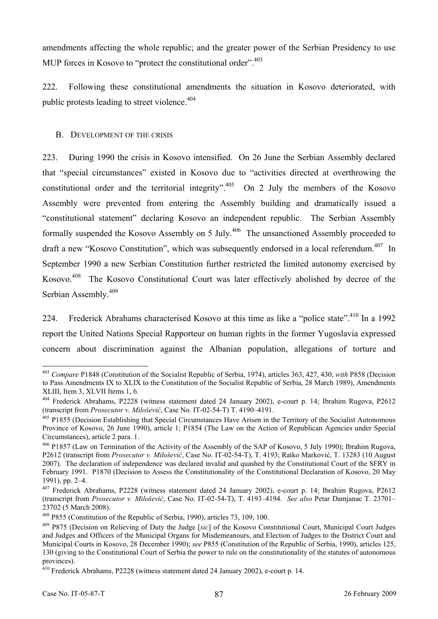amendments affecting the whole republic; and the greater power of the Serbian Presidency to use MUP forces in Kosovo to "protect the constitutional order".<sup>403</sup>

222. Following these constitutional amendments the situation in Kosovo deteriorated, with public protests leading to street violence.  $404$ 

## B. DEVELOPMENT OF THE CRISIS

223. During 1990 the crisis in Kosovo intensified. On 26 June the Serbian Assembly declared that "special circumstances" existed in Kosovo due to "activities directed at overthrowing the constitutional order and the territorial integrity".<sup>405</sup> On 2 July the members of the Kosovo Assembly were prevented from entering the Assembly building and dramatically issued a "constitutional statement" declaring Kosovo an independent republic. The Serbian Assembly formally suspended the Kosovo Assembly on 5 July.<sup>406</sup> The unsanctioned Assembly proceeded to draft a new "Kosovo Constitution", which was subsequently endorsed in a local referendum.  $407$  In September 1990 a new Serbian Constitution further restricted the limited autonomy exercised by Kosovo.<sup>408</sup> The Kosovo Constitutional Court was later effectively abolished by decree of the Serbian Assembly.<sup>409</sup>

224. Frederick Abrahams characterised Kosovo at this time as like a "police state".<sup>410</sup> In a 1992 report the United Nations Special Rapporteur on human rights in the former Yugoslavia expressed concern about discrimination against the Albanian population, allegations of torture and

<sup>403</sup> *Compare* P1848 (Constitution of the Socialist Republic of Serbia, 1974), articles 363, 427, 430, *with* P858 (Decision to Pass Amendments IX to XLIX to the Constitution of the Socialist Republic of Serbia, 28 March 1989), Amendments XLIII, Item 3, XLVII Items 1, 6.

<sup>&</sup>lt;sup>404</sup> Frederick Abrahams, P2228 (witness statement dated 24 January 2002), e-court p. 14; Ibrahim Rugova, P2612 (transcript from *Prosecutor v. Milošević*, Case No. IT-02-54-T) T. 4190-4191.

<sup>&</sup>lt;sup>405</sup> P1855 (Decision Establishing that Special Circumstances Have Arisen in the Territory of the Socialist Autonomous Province of Kosovo, 26 June 1990), article 1; P1854 (The Law on the Action of Republican Agencies under Special Circumstances), article 2 para. 1.

<sup>&</sup>lt;sup>406</sup> P1857 (Law on Termination of the Activity of the Assembly of the SAP of Kosovo, 5 July 1990); Ibrahim Rugova, P2612 (transcript from *Prosecutor v. Milošević*, Case No. IT-02-54-T), T. 4193; Ratko Marković, T. 13283 (10 August 2007). The declaration of independence was declared invalid and quashed by the Constitutional Court of the SFRY in February 1991. P1870 (Decision to Assess the Constitutionality of the Constitutional Declaration of Kosovo, 20 May 1991), pp. 2–4.

<sup>407</sup> Frederick Abrahams, P2228 (witness statement dated 24 January 2002), e-court p. 14; Ibrahim Rugova, P2612 (transcript from *Prosecutor v. Milošević*, Case No. IT-02-54-T), T. 4193–4194. *See also* Petar Damjanac T. 23701– 23702 (5 March 2008).

<sup>408</sup> P855 (Constitution of the Republic of Serbia, 1990), articles 73, 109, 100. 409 P875 (Decision on Relieving of Duty the Judge [*sic*] of the Kosovo Constitutional Court, Municipal Court Judges and Judges and Officers of the Municipal Organs for Misdemeanours, and Election of Judges to the District Court and Municipal Courts in Kosovo, 28 December 1990); *see* P855 (Constitution of the Republic of Serbia, 1990), articles 125, 130 (giving to the Constitutional Court of Serbia the power to rule on the constitutionality of the statutes of autonomous provinces).

<sup>410</sup> Frederick Abrahams, P2228 (witness statement dated 24 January 2002), e-court p. 14.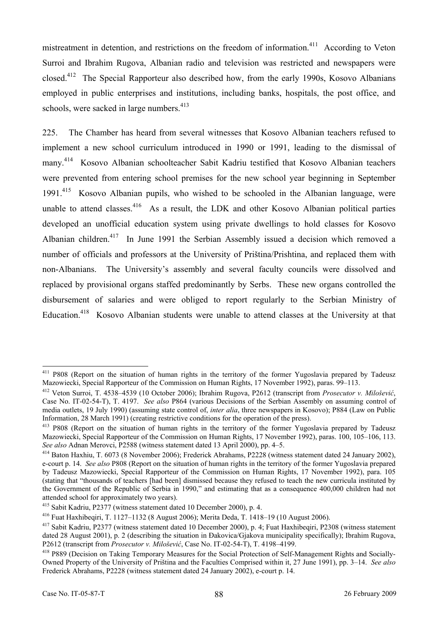mistreatment in detention, and restrictions on the freedom of information.<sup>411</sup> According to Veton Surroi and Ibrahim Rugova, Albanian radio and television was restricted and newspapers were closed.412 The Special Rapporteur also described how, from the early 1990s, Kosovo Albanians employed in public enterprises and institutions, including banks, hospitals, the post office, and schools, were sacked in large numbers.<sup>413</sup>

225. The Chamber has heard from several witnesses that Kosovo Albanian teachers refused to implement a new school curriculum introduced in 1990 or 1991, leading to the dismissal of many. 414 Kosovo Albanian schoolteacher Sabit Kadriu testified that Kosovo Albanian teachers were prevented from entering school premises for the new school year beginning in September 1991.415 Kosovo Albanian pupils, who wished to be schooled in the Albanian language, were unable to attend classes.  $416$  As a result, the LDK and other Kosovo Albanian political parties developed an unofficial education system using private dwellings to hold classes for Kosovo Albanian children.417 In June 1991 the Serbian Assembly issued a decision which removed a number of officials and professors at the University of Priština/Prishtina, and replaced them with non-Albanians. The University's assembly and several faculty councils were dissolved and replaced by provisional organs staffed predominantly by Serbs. These new organs controlled the disbursement of salaries and were obliged to report regularly to the Serbian Ministry of Education.<sup>418</sup> Kosovo Albanian students were unable to attend classes at the University at that

<sup>&</sup>lt;sup>411</sup> P808 (Report on the situation of human rights in the territory of the former Yugoslavia prepared by Tadeusz Mazowiecki, Special Rapporteur of the Commission on Human Rights, 17 November 1992), paras. 99–113.

<sup>412</sup> Veton Surroi, T. 4538–4539 (10 October 2006); Ibrahim Rugova, P2612 (transcript from *Prosecutor v. Milošević*, Case No. IT-02-54-T), T. 4197. *See also* P864 (various Decisions of the Serbian Assembly on assuming control of media outlets, 19 July 1990) (assuming state control of, *inter alia*, three newspapers in Kosovo); P884 (Law on Public Information, 28 March 1991) (creating restrictive conditions for the operation of the press).

<sup>&</sup>lt;sup>413</sup> P808 (Report on the situation of human rights in the territory of the former Yugoslavia prepared by Tadeusz Mazowiecki, Special Rapporteur of the Commission on Human Rights, 17 November 1992), paras. 100, 105–106, 113.<br>See also Adnan Merovci, P2588 (witness statement dated 13 April 2000), pp. 4–5.

<sup>&</sup>lt;sup>414</sup> Baton Haxhiu, T. 6073 (8 November 2006); Frederick Abrahams, P2228 (witness statement dated 24 January 2002), e-court p. 14. *See also* P808 (Report on the situation of human rights in the territory of the former Yugoslavia prepared by Tadeusz Mazowiecki, Special Rapporteur of the Commission on Human Rights, 17 November 1992), para. 105 (stating that "thousands of teachers [had been] dismissed because they refused to teach the new curricula instituted by the Government of the Republic of Serbia in 1990," and estimating that as a consequence 400,000 children had not attended school for approximately two years).

<sup>&</sup>lt;sup>415</sup> Sabit Kadriu, P2377 (witness statement dated 10 December 2000), p. 4.<br><sup>416</sup> Fuat Haxhibeqiri, T. 1127–1132 (8 August 2006); Merita Deda, T. 1418–19 (10 August 2006).<br><sup>417</sup> Sabit Kadriu, P2377 (witness statement date dated 28 August 2001), p. 2 (describing the situation in Đakovica/Gjakova municipality specifically); Ibrahim Rugova, P2612 (transcript from *Prosecutor v. Milošević*, Case No. IT-02-54-T), T. 4198-4199.

<sup>&</sup>lt;sup>418</sup> P889 (Decision on Taking Temporary Measures for the Social Protection of Self-Management Rights and Socially-Owned Property of the University of Priština and the Faculties Comprised within it, 27 June 1991), pp. 3–14. *See also* Frederick Abrahams, P2228 (witness statement dated 24 January 2002), e-court p. 14.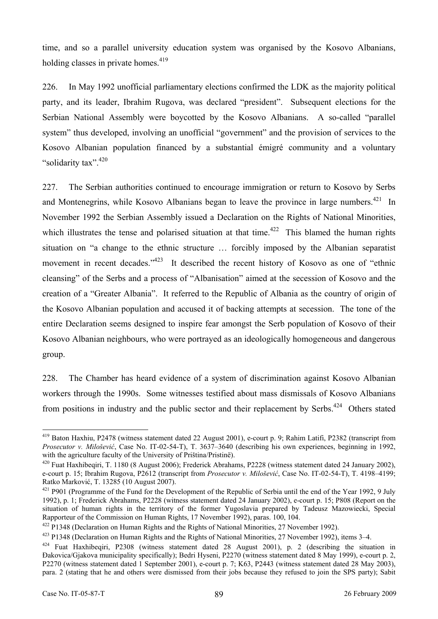time, and so a parallel university education system was organised by the Kosovo Albanians, holding classes in private homes. $419$ 

226. In May 1992 unofficial parliamentary elections confirmed the LDK as the majority political party, and its leader, Ibrahim Rugova, was declared "president". Subsequent elections for the Serbian National Assembly were boycotted by the Kosovo Albanians. A so-called "parallel system" thus developed, involving an unofficial "government" and the provision of services to the Kosovo Albanian population financed by a substantial émigré community and a voluntary "solidarity tax".<sup>420</sup>

227. The Serbian authorities continued to encourage immigration or return to Kosovo by Serbs and Montenegrins, while Kosovo Albanians began to leave the province in large numbers.<sup>421</sup> In November 1992 the Serbian Assembly issued a Declaration on the Rights of National Minorities, which illustrates the tense and polarised situation at that time.<sup>422</sup> This blamed the human rights situation on "a change to the ethnic structure … forcibly imposed by the Albanian separatist movement in recent decades."<sup>423</sup> It described the recent history of Kosovo as one of "ethnic cleansing" of the Serbs and a process of "Albanisation" aimed at the secession of Kosovo and the creation of a "Greater Albania". It referred to the Republic of Albania as the country of origin of the Kosovo Albanian population and accused it of backing attempts at secession. The tone of the entire Declaration seems designed to inspire fear amongst the Serb population of Kosovo of their Kosovo Albanian neighbours, who were portrayed as an ideologically homogeneous and dangerous group.

228. The Chamber has heard evidence of a system of discrimination against Kosovo Albanian workers through the 1990s. Some witnesses testified about mass dismissals of Kosovo Albanians from positions in industry and the public sector and their replacement by Serbs.<sup>424</sup> Others stated

<sup>419</sup> Baton Haxhiu, P2478 (witness statement dated 22 August 2001), e-court p. 9; Rahim Latifi, P2382 (transcript from *Prosecutor v. Milošević*, Case No. IT-02-54-T), T. 3637–3640 (describing his own experiences, beginning in 1992, with the agriculture faculty of the University of Priština/Pristine).

<sup>&</sup>lt;sup>420</sup> Fuat Haxhibeqiri, T. 1180 (8 August 2006); Frederick Abrahams, P2228 (witness statement dated 24 January 2002), e-court p. 15; Ibrahim Rugova, P2612 (transcript from *Prosecutor v. Milošević*, Case No. IT-02-54-T), T. 4198–4199; Ratko Marković, T. 13285 (10 August 2007).<br><sup>421</sup> P901 (Programme of the Fund for the Development of the Republic of Serbia until the end of the Year 1992, 9 July

<sup>1992),</sup> p. 1; Frederick Abrahams, P2228 (witness statement dated 24 January 2002), e-court p. 15; P808 (Report on the situation of human rights in the territory of the former Yugoslavia prepared by Tadeusz Mazowiecki, Special Rapporteur of the Commission on Human Rights, 17 November 1992), paras. 100, 104.

<sup>&</sup>lt;sup>422</sup> P1348 (Declaration on Human Rights and the Rights of National Minorities, 27 November 1992).<br><sup>423</sup> P1348 (Declaration on Human Rights and the Rights of National Minorities, 27 November 1992), items 3–4.<br><sup>424</sup> Fuat H

Đakovica/Gjakova municipality specifically); Bedri Hyseni, P2270 (witness statement dated 8 May 1999), e-court p. 2, P2270 (witness statement dated 1 September 2001), e-court p. 7; K63, P2443 (witness statement dated 28 May 2003), para. 2 (stating that he and others were dismissed from their jobs because they refused to join the SPS party); Sabit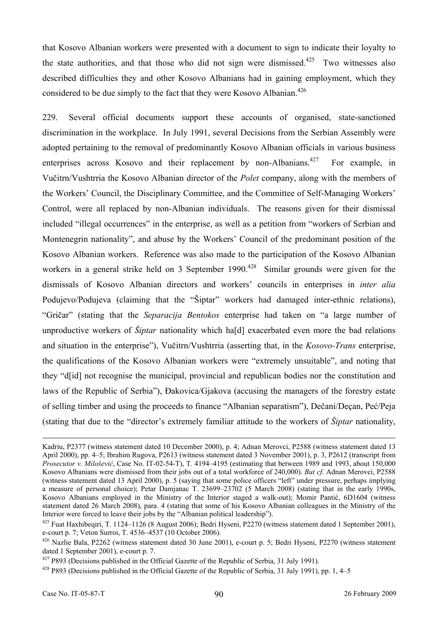that Kosovo Albanian workers were presented with a document to sign to indicate their loyalty to the state authorities, and that those who did not sign were dismissed.<sup>425</sup> Two witnesses also described difficulties they and other Kosovo Albanians had in gaining employment, which they considered to be due simply to the fact that they were Kosovo Albanian.<sup>426</sup>

229. Several official documents support these accounts of organised, state-sanctioned discrimination in the workplace. In July 1991, several Decisions from the Serbian Assembly were adopted pertaining to the removal of predominantly Kosovo Albanian officials in various business enterprises across Kosovo and their replacement by non-Albanians.<sup>427</sup> For example, in Vučitrn/Vushtrria the Kosovo Albanian director of the *Polet* company, along with the members of the Workers' Council, the Disciplinary Committee, and the Committee of Self-Managing Workers' Control, were all replaced by non-Albanian individuals. The reasons given for their dismissal included "illegal occurrences" in the enterprise, as well as a petition from "workers of Serbian and Montenegrin nationality", and abuse by the Workers' Council of the predominant position of the Kosovo Albanian workers. Reference was also made to the participation of the Kosovo Albanian workers in a general strike held on 3 September 1990.<sup>428</sup> Similar grounds were given for the dismissals of Kosovo Albanian directors and workers' councils in enterprises in *inter alia* Podujevo/Podujeva (claiming that the "Šiptar" workers had damaged inter-ethnic relations), "Gričar" (stating that the *Separacija Bentokos* enterprise had taken on "a large number of unproductive workers of *Šiptar* nationality which ha[d] exacerbated even more the bad relations and situation in the enterprise"), Vučitrn/Vushtrria (asserting that, in the *Kosovo-Trans* enterprise, the qualifications of the Kosovo Albanian workers were "extremely unsuitable", and noting that they "d[id] not recognise the municipal, provincial and republican bodies nor the constitution and laws of the Republic of Serbia"), Đakovica/Gjakova (accusing the managers of the forestry estate of selling timber and using the proceeds to finance "Albanian separatism"), Dečani/Deçan, Peć/Peja (stating that due to the "director's extremely familiar attitude to the workers of *Šiptar* nationality,

Kadriu, P2377 (witness statement dated 10 December 2000), p. 4; Adnan Merovci, P2588 (witness statement dated 13 April 2000), pp. 4–5; Ibrahim Rugova, P2613 (witness statement dated 3 November 2001), p. 3, P2612 (transcript from *Prosecutor v. Milošević*, Case No. IT-02-54-T), T. 4194–4195 (estimating that between 1989 and 1993, about 150,000 Kosovo Albanians were dismissed from their jobs out of a total workforce of 240,000). *But cf.* Adnan Merovci, P2588 (witness statement dated 13 April 2000), p. 5 (saying that some police officers "left" under pressure, perhaps implying a measure of personal choice); Petar Damjanac T. 23699–23702 (5 March 2008) (stating that in the early 1990s, Kosovo Albanians employed in the Ministry of the Interior staged a walk-out); Momir Pantić, 6D1604 (witness statement dated 26 March 2008), para. 4 (stating that some of his Kosovo Albanian colleagues in the Ministry of the Interior were forced to leave their jobs by the "Albanian political leadership").

<sup>&</sup>lt;sup>425</sup> Fuat Haxhibegiri, T. 1124–1126 (8 August 2006); Bedri Hyseni, P2270 (witness statement dated 1 September 2001), e-court p. 7; Veton Surroi, T. 4536–4537 (10 October 2006).

<sup>426</sup> Nazlie Bala, P2262 (witness statement dated 30 June 2001), e-court p. 5; Bedri Hyseni, P2270 (witness statement dated 1 September 2001), e-court p. 7.

<sup>&</sup>lt;sup>427</sup> P893 (Decisions published in the Official Gazette of the Republic of Serbia, 31 July 1991). <sup>428</sup> P893 (Decisions published in the Official Gazette of the Republic of Serbia, 31 July 1991), pp. 1, 4–5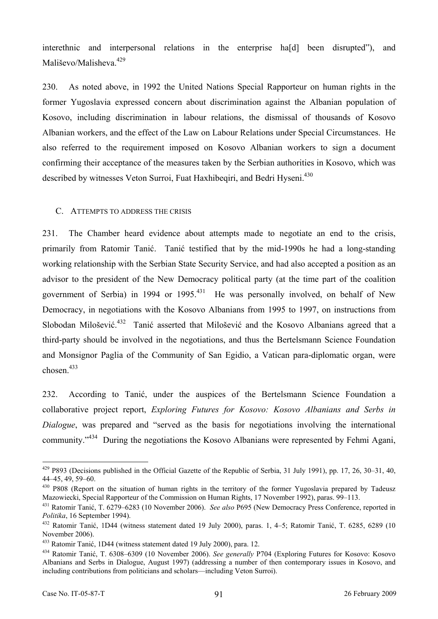interethnic and interpersonal relations in the enterprise ha[d] been disrupted"), and Mališevo/Malisheva.<sup>429</sup>

230. As noted above, in 1992 the United Nations Special Rapporteur on human rights in the former Yugoslavia expressed concern about discrimination against the Albanian population of Kosovo, including discrimination in labour relations, the dismissal of thousands of Kosovo Albanian workers, and the effect of the Law on Labour Relations under Special Circumstances. He also referred to the requirement imposed on Kosovo Albanian workers to sign a document confirming their acceptance of the measures taken by the Serbian authorities in Kosovo, which was described by witnesses Veton Surroi, Fuat Haxhibeqiri, and Bedri Hyseni.<sup>430</sup>

#### C. ATTEMPTS TO ADDRESS THE CRISIS

231. The Chamber heard evidence about attempts made to negotiate an end to the crisis, primarily from Ratomir Tanić. Tanić testified that by the mid-1990s he had a long-standing working relationship with the Serbian State Security Service, and had also accepted a position as an advisor to the president of the New Democracy political party (at the time part of the coalition government of Serbia) in 1994 or 1995.<sup>431</sup> He was personally involved, on behalf of New Democracy, in negotiations with the Kosovo Albanians from 1995 to 1997, on instructions from Slobodan Milošević.<sup>432</sup> Tanić asserted that Milošević and the Kosovo Albanians agreed that a third-party should be involved in the negotiations, and thus the Bertelsmann Science Foundation and Monsignor Paglia of the Community of San Egidio, a Vatican para-diplomatic organ, were  $chosen$ <sup>433</sup>

232. According to Tanić, under the auspices of the Bertelsmann Science Foundation a collaborative project report, *Exploring Futures for Kosovo: Kosovo Albanians and Serbs in Dialogue*, was prepared and "served as the basis for negotiations involving the international community."<sup>434</sup> During the negotiations the Kosovo Albanians were represented by Fehmi Agani,

 $429$  P893 (Decisions published in the Official Gazette of the Republic of Serbia, 31 July 1991), pp. 17, 26, 30–31, 40, 44–45, 49, 59–60.

<sup>&</sup>lt;sup>430</sup> P808 (Report on the situation of human rights in the territory of the former Yugoslavia prepared by Tadeusz Mazowiecki, Special Rapporteur of the Commission on Human Rights, 17 November 1992), paras. 99–113.

<sup>431</sup> Ratomir Tanić, T. 6279–6283 (10 November 2006). *See also* P695 (New Democracy Press Conference, reported in

<sup>&</sup>lt;sup>432</sup> Ratomir Tanić, 1D44 (witness statement dated 19 July 2000), paras. 1, 4–5; Ratomir Tanić, T. 6285, 6289 (10 November 2006).

<sup>433</sup> Ratomir Tanić, 1D44 (witness statement dated 19 July 2000), para. 12. 434 Ratomir Tanić, T. 6308–6309 (10 November 2006). *See generally* P704 (Exploring Futures for Kosovo: Kosovo Albanians and Serbs in Dialogue, August 1997) (addressing a number of then contemporary issues in Kosovo, and including contributions from politicians and scholars—including Veton Surroi).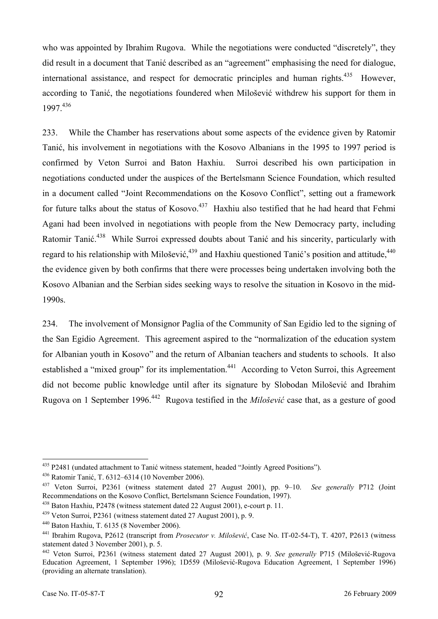who was appointed by Ibrahim Rugova. While the negotiations were conducted "discretely", they did result in a document that Tanić described as an "agreement" emphasising the need for dialogue, international assistance, and respect for democratic principles and human rights.<sup>435</sup> However, according to Tanić, the negotiations foundered when Milošević withdrew his support for them in 1997.436

233. While the Chamber has reservations about some aspects of the evidence given by Ratomir Tanić, his involvement in negotiations with the Kosovo Albanians in the 1995 to 1997 period is confirmed by Veton Surroi and Baton Haxhiu. Surroi described his own participation in negotiations conducted under the auspices of the Bertelsmann Science Foundation, which resulted in a document called "Joint Recommendations on the Kosovo Conflict", setting out a framework for future talks about the status of Kosovo.<sup>437</sup> Haxhiu also testified that he had heard that Fehmi Agani had been involved in negotiations with people from the New Democracy party, including Ratomir Tanić.<sup>438</sup> While Surroi expressed doubts about Tanić and his sincerity, particularly with regard to his relationship with Milošević, <sup>439</sup> and Haxhiu questioned Tanić's position and attitude, <sup>440</sup> the evidence given by both confirms that there were processes being undertaken involving both the Kosovo Albanian and the Serbian sides seeking ways to resolve the situation in Kosovo in the mid-1990s.

234. The involvement of Monsignor Paglia of the Community of San Egidio led to the signing of the San Egidio Agreement. This agreement aspired to the "normalization of the education system for Albanian youth in Kosovo" and the return of Albanian teachers and students to schools. It also established a "mixed group" for its implementation.<sup>441</sup> According to Veton Surroi, this Agreement did not become public knowledge until after its signature by Slobodan Milošević and Ibrahim Rugova on 1 September 1996.442 Rugova testified in the *Milošević* case that, as a gesture of good

<sup>&</sup>lt;sup>435</sup> P2481 (undated attachment to Tanić witness statement, headed "Jointly Agreed Positions").<br><sup>436</sup> Ratomir Tanić, T. 6312–6314 (10 November 2006).<br><sup>437</sup> Veton Surroi, P2361 (witness statement dated 27 August 2001), pp. Recommendations on the Kosovo Conflict, Bertelsmann Science Foundation, 1997).

<sup>&</sup>lt;sup>438</sup> Baton Haxhiu, P2478 (witness statement dated 22 August 2001), e-court p. 11.<br><sup>439</sup> Veton Surroi, P2361 (witness statement dated 27 August 2001), p. 9.<br><sup>440</sup> Baton Haxhiu, T. 6135 (8 November 2006).<br><sup>441</sup> Ibrahim Rug statement dated 3 November 2001), p. 5.

<sup>442</sup> Veton Surroi, P2361 (witness statement dated 27 August 2001), p. 9. *See generally* P715 (Milošević-Rugova Education Agreement, 1 September 1996); 1D559 (Milošević-Rugova Education Agreement, 1 September 1996) (providing an alternate translation).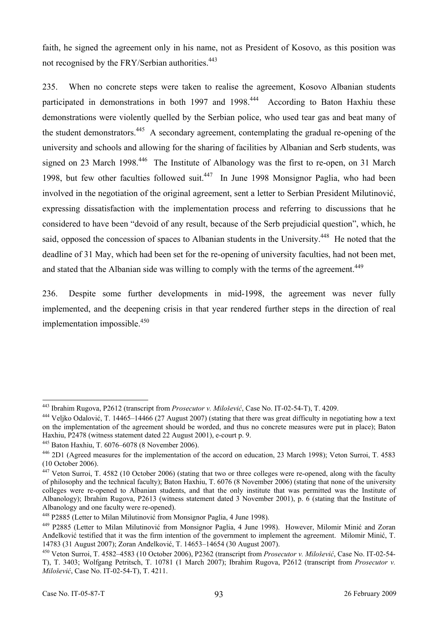faith, he signed the agreement only in his name, not as President of Kosovo, as this position was not recognised by the FRY/Serbian authorities.<sup>443</sup>

235. When no concrete steps were taken to realise the agreement, Kosovo Albanian students participated in demonstrations in both 1997 and 1998.<sup>444</sup> According to Baton Haxhiu these demonstrations were violently quelled by the Serbian police, who used tear gas and beat many of the student demonstrators.445 A secondary agreement, contemplating the gradual re-opening of the university and schools and allowing for the sharing of facilities by Albanian and Serb students, was signed on 23 March 1998.<sup>446</sup> The Institute of Albanology was the first to re-open, on 31 March 1998, but few other faculties followed suit.<sup>447</sup> In June 1998 Monsignor Paglia, who had been involved in the negotiation of the original agreement, sent a letter to Serbian President Milutinović, expressing dissatisfaction with the implementation process and referring to discussions that he considered to have been "devoid of any result, because of the Serb prejudicial question", which, he said, opposed the concession of spaces to Albanian students in the University.<sup>448</sup> He noted that the deadline of 31 May, which had been set for the re-opening of university faculties, had not been met, and stated that the Albanian side was willing to comply with the terms of the agreement.<sup>449</sup>

236. Despite some further developments in mid-1998, the agreement was never fully implemented, and the deepening crisis in that year rendered further steps in the direction of real implementation impossible. $450$ 

<sup>&</sup>lt;sup>443</sup> Ibrahim Rugova, P2612 (transcript from *Prosecutor v. Milošević*, Case No. IT-02-54-T), T. 4209.

 $444$  Veliko Odalović, T. 14465–14466 (27 August 2007) (stating that there was great difficulty in negotiating how a text on the implementation of the agreement should be worded, and thus no concrete measures were put in place); Baton Haxhiu, P2478 (witness statement dated 22 August 2001), e-court p. 9.

<sup>&</sup>lt;sup>445</sup> Baton Haxhiu, T. 6076–6078 (8 November 2006).<br><sup>446</sup> 2D1 (Agreed measures for the implementation of the accord on education, 23 March 1998); Veton Surroi, T. 4583 (10 October 2006).

 $447$  Veton Surroi, T. 4582 (10 October 2006) (stating that two or three colleges were re-opened, along with the faculty of philosophy and the technical faculty); Baton Haxhiu, T. 6076 (8 November 2006) (stating that none of the university colleges were re-opened to Albanian students, and that the only institute that was permitted was the Institute of Albanology); Ibrahim Rugova, P2613 (witness statement dated 3 November 2001), p. 6 (stating that the Institute of Albanology and one faculty were re-opened).

<sup>&</sup>lt;sup>448</sup> P2885 (Letter to Milan Milutinović from Monsignor Paglia, 4 June 1998).<br><sup>449</sup> P2885 (Letter to Milan Milutinović from Monsignor Paglia, 4 June 1998). However, Milomir Minić and Zoran Anđelković testified that it was the firm intention of the government to implement the agreement. Milomir Minić, T. 14783 (31 August 2007); Zoran Anđelković, T. 14653–14654 (30 August 2007).

<sup>14783 (31</sup> August 2007); Zoran Anđelković, T. 14653–14654 (30 August 2007). 450 Veton Surroi, T. 4582–4583 (10 October 2006), P2362 (transcript from *Prosecutor v. Milošević*, Case No. IT-02-54- T), T. 3403; Wolfgang Petritsch, T. 10781 (1 March 2007); Ibrahim Rugova, P2612 (transcript from *Prosecutor v. Milošević*, Case No. IT-02-54-T), T. 4211.